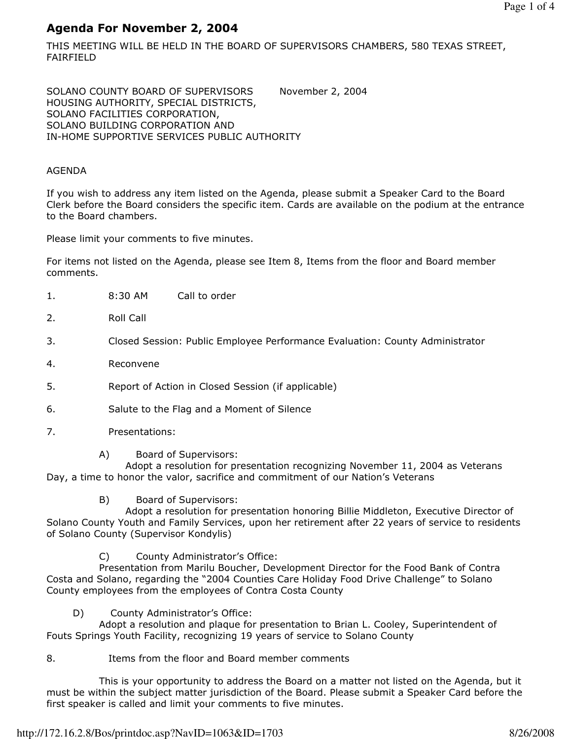# Agenda For November 2, 2004

THIS MEETING WILL BE HELD IN THE BOARD OF SUPERVISORS CHAMBERS, 580 TEXAS STREET, FAIRFIELD

SOLANO COUNTY BOARD OF SUPERVISORS November 2, 2004 HOUSING AUTHORITY, SPECIAL DISTRICTS, SOLANO FACILITIES CORPORATION, SOLANO BUILDING CORPORATION AND IN-HOME SUPPORTIVE SERVICES PUBLIC AUTHORITY

### AGENDA

If you wish to address any item listed on the Agenda, please submit a Speaker Card to the Board Clerk before the Board considers the specific item. Cards are available on the podium at the entrance to the Board chambers.

Please limit your comments to five minutes.

For items not listed on the Agenda, please see Item 8, Items from the floor and Board member comments.

- 1. 8:30 AM Call to order
- 2. Roll Call
- 3. Closed Session: Public Employee Performance Evaluation: County Administrator
- 4. Reconvene
- 5. Report of Action in Closed Session (if applicable)
- 6. Salute to the Flag and a Moment of Silence
- 7. Presentations:
	- A) Board of Supervisors:

 Adopt a resolution for presentation recognizing November 11, 2004 as Veterans Day, a time to honor the valor, sacrifice and commitment of our Nation's Veterans

B) Board of Supervisors:

 Adopt a resolution for presentation honoring Billie Middleton, Executive Director of Solano County Youth and Family Services, upon her retirement after 22 years of service to residents of Solano County (Supervisor Kondylis)

C) County Administrator's Office:

 Presentation from Marilu Boucher, Development Director for the Food Bank of Contra Costa and Solano, regarding the "2004 Counties Care Holiday Food Drive Challenge" to Solano County employees from the employees of Contra Costa County

D) County Administrator's Office:

 Adopt a resolution and plaque for presentation to Brian L. Cooley, Superintendent of Fouts Springs Youth Facility, recognizing 19 years of service to Solano County

8. Items from the floor and Board member comments

 This is your opportunity to address the Board on a matter not listed on the Agenda, but it must be within the subject matter jurisdiction of the Board. Please submit a Speaker Card before the first speaker is called and limit your comments to five minutes.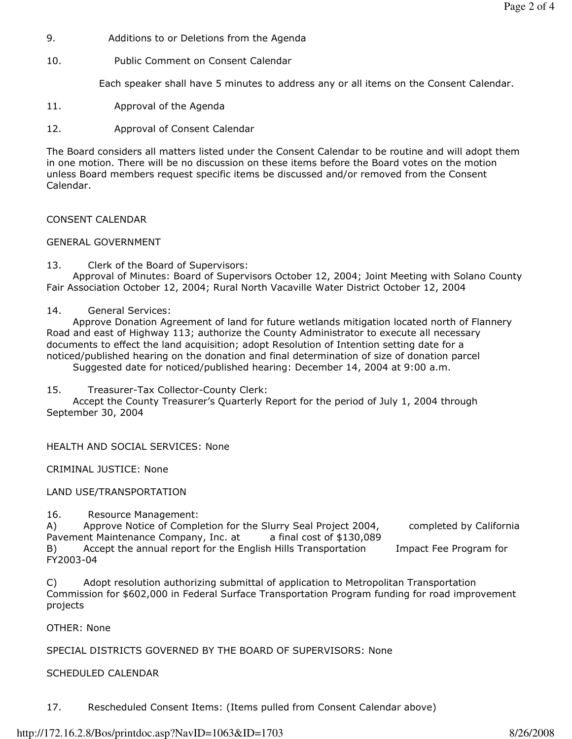- 9. Additions to or Deletions from the Agenda
- 10. Public Comment on Consent Calendar

Each speaker shall have 5 minutes to address any or all items on the Consent Calendar.

- 11. Approval of the Agenda
- 12. Approval of Consent Calendar

The Board considers all matters listed under the Consent Calendar to be routine and will adopt them in one motion. There will be no discussion on these items before the Board votes on the motion unless Board members request specific items be discussed and/or removed from the Consent Calendar.

#### CONSENT CALENDAR

#### GENERAL GOVERNMENT

13. Clerk of the Board of Supervisors:

 Approval of Minutes: Board of Supervisors October 12, 2004; Joint Meeting with Solano County Fair Association October 12, 2004; Rural North Vacaville Water District October 12, 2004

14. General Services:

 Approve Donation Agreement of land for future wetlands mitigation located north of Flannery Road and east of Highway 113; authorize the County Administrator to execute all necessary documents to effect the land acquisition; adopt Resolution of Intention setting date for a noticed/published hearing on the donation and final determination of size of donation parcel

Suggested date for noticed/published hearing: December 14, 2004 at 9:00 a.m.

15. Treasurer-Tax Collector-County Clerk:

 Accept the County Treasurer's Quarterly Report for the period of July 1, 2004 through September 30, 2004

HEALTH AND SOCIAL SERVICES: None

CRIMINAL JUSTICE: None

LAND USE/TRANSPORTATION

16. Resource Management:

A) Approve Notice of Completion for the Slurry Seal Project 2004, completed by California

Pavement Maintenance Company, Inc. at a final cost of \$130,089

B) Accept the annual report for the English Hills Transportation Impact Fee Program for

FY2003-04 C) Adopt resolution authorizing submittal of application to Metropolitan Transportation

Commission for \$602,000 in Federal Surface Transportation Program funding for road improvement projects

OTHER: None

SPECIAL DISTRICTS GOVERNED BY THE BOARD OF SUPERVISORS: None

#### SCHEDULED CALENDAR

17. Rescheduled Consent Items: (Items pulled from Consent Calendar above)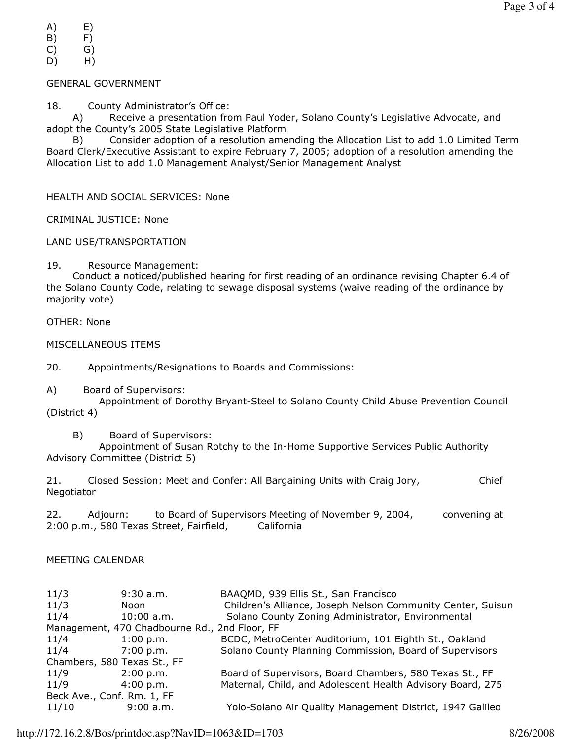- A) E)
- B) F)
- C) G)
- D) H)

# GENERAL GOVERNMENT

18. County Administrator's Office:

 A) Receive a presentation from Paul Yoder, Solano County's Legislative Advocate, and adopt the County's 2005 State Legislative Platform

 B) Consider adoption of a resolution amending the Allocation List to add 1.0 Limited Term Board Clerk/Executive Assistant to expire February 7, 2005; adoption of a resolution amending the Allocation List to add 1.0 Management Analyst/Senior Management Analyst

HEALTH AND SOCIAL SERVICES: None

CRIMINAL JUSTICE: None

LAND USE/TRANSPORTATION

19. Resource Management:

 Conduct a noticed/published hearing for first reading of an ordinance revising Chapter 6.4 of the Solano County Code, relating to sewage disposal systems (waive reading of the ordinance by majority vote)

OTHER: None

MISCELLANEOUS ITEMS

20. Appointments/Resignations to Boards and Commissions:

A) Board of Supervisors:

 Appointment of Dorothy Bryant-Steel to Solano County Child Abuse Prevention Council (District 4)

B) Board of Supervisors:

 Appointment of Susan Rotchy to the In-Home Supportive Services Public Authority Advisory Committee (District 5)

21. Closed Session: Meet and Confer: All Bargaining Units with Craig Jory, Chief Negotiator

22. Adjourn: to Board of Supervisors Meeting of November 9, 2004, convening at 2:00 p.m., 580 Texas Street, Fairfield, California

## MEETING CALENDAR

| 11/3                                          | $9:30$ a.m.  | BAAQMD, 939 Ellis St., San Francisco                        |
|-----------------------------------------------|--------------|-------------------------------------------------------------|
| 11/3                                          | Noon         | Children's Alliance, Joseph Nelson Community Center, Suisun |
| 11/4                                          | $10:00$ a.m. | Solano County Zoning Administrator, Environmental           |
| Management, 470 Chadbourne Rd., 2nd Floor, FF |              |                                                             |
| 11/4                                          | 1:00 p.m.    | BCDC, MetroCenter Auditorium, 101 Eighth St., Oakland       |
| 11/4                                          | 7:00 p.m.    | Solano County Planning Commission, Board of Supervisors     |
| Chambers, 580 Texas St., FF                   |              |                                                             |
| 11/9                                          | 2:00 p.m.    | Board of Supervisors, Board Chambers, 580 Texas St., FF     |
| 11/9                                          | 4:00 p.m.    | Maternal, Child, and Adolescent Health Advisory Board, 275  |
| Beck Ave., Conf. Rm. 1, FF                    |              |                                                             |
| 11/10                                         | 9:00 a.m.    | Yolo-Solano Air Quality Management District, 1947 Galileo   |
|                                               |              |                                                             |

http://172.16.2.8/Bos/printdoc.asp?NavID=1063&ID=1703 8/26/2008